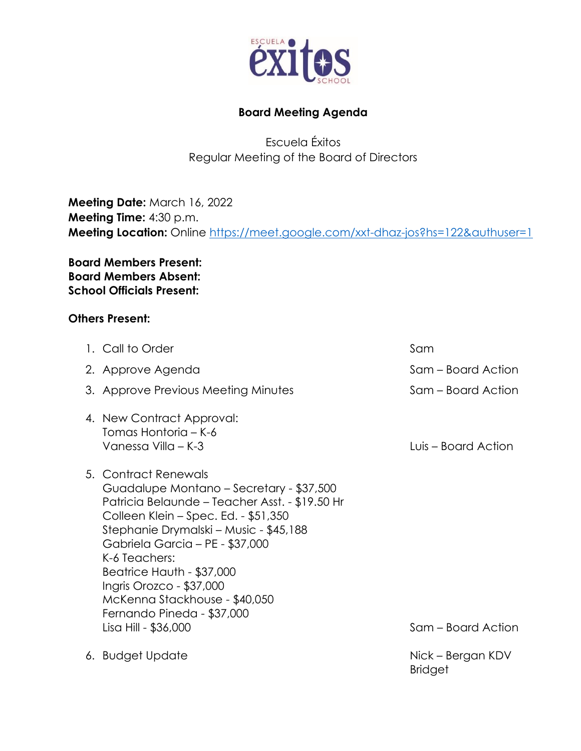

## **Board Meeting Agenda**

Escuela Éxitos Regular Meeting of the Board of Directors

**Meeting Date:** March 16, 2022 **Meeting Time:** 4:30 p.m. **Meeting Location:** Online <https://meet.google.com/xxt-dhaz-jos?hs=122&authuser=1>

**Board Members Present: Board Members Absent: School Officials Present:**

## **Others Present:**

| 1. Call to Order                                                                                                                                                                                                                                                                                                                                                                                         | Sam                                 |
|----------------------------------------------------------------------------------------------------------------------------------------------------------------------------------------------------------------------------------------------------------------------------------------------------------------------------------------------------------------------------------------------------------|-------------------------------------|
| 2. Approve Agenda                                                                                                                                                                                                                                                                                                                                                                                        | Sam – Board Action                  |
| 3. Approve Previous Meeting Minutes                                                                                                                                                                                                                                                                                                                                                                      | Sam – Board Action                  |
| 4. New Contract Approval:<br>Tomas Hontoria – K-6<br>Vanessa Villa – K-3                                                                                                                                                                                                                                                                                                                                 | Luis – Board Action                 |
| 5. Contract Renewals<br>Guadalupe Montano – Secretary - \$37,500<br>Patricia Belaunde – Teacher Asst. - \$19.50 Hr<br>Colleen Klein - Spec. Ed. - \$51,350<br>Stephanie Drymalski - Music - \$45,188<br>Gabriela Garcia - PE - \$37,000<br>K-6 Teachers:<br>Beatrice Hauth - \$37,000<br>Ingris Orozco - \$37,000<br>McKenna Stackhouse - \$40,050<br>Fernando Pineda - \$37,000<br>Lisa Hill - \$36,000 | Sam – Board Action                  |
| 6. Budget Update                                                                                                                                                                                                                                                                                                                                                                                         | Nick – Bergan KDV<br><b>Bridget</b> |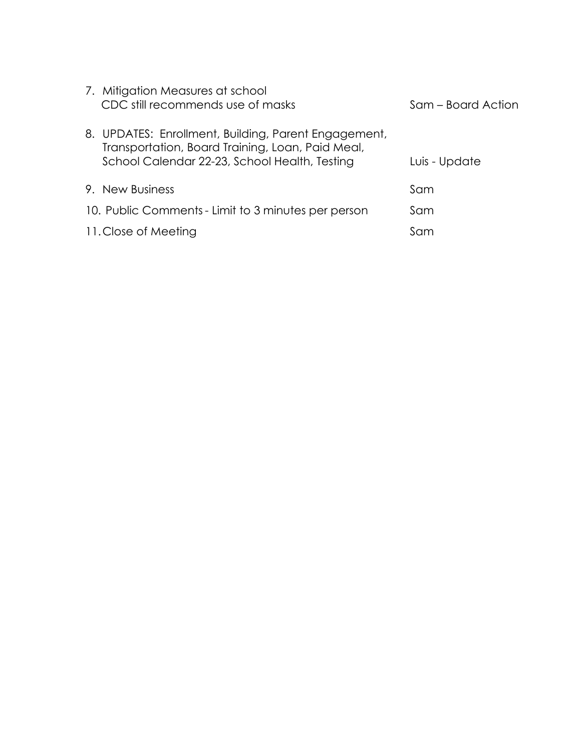| 7. Mitigation Measures at school<br>CDC still recommends use of masks                                                                                     | Sam – Board Action |
|-----------------------------------------------------------------------------------------------------------------------------------------------------------|--------------------|
| 8. UPDATES: Enrollment, Building, Parent Engagement,<br>Transportation, Board Training, Loan, Paid Meal,<br>School Calendar 22-23, School Health, Testing | Luis - Update      |
| 9. New Business                                                                                                                                           | Sam                |
| 10. Public Comments - Limit to 3 minutes per person                                                                                                       | Sam                |
| 11. Close of Meeting                                                                                                                                      | Sam                |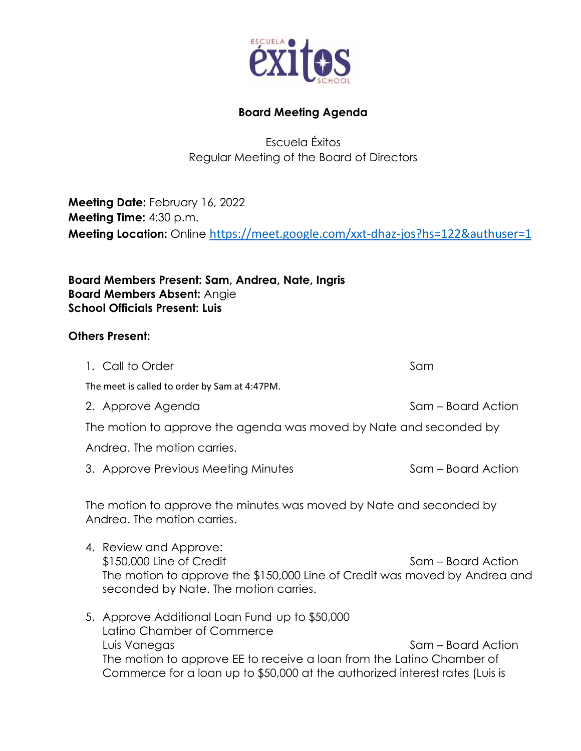

## **Board Meeting Agenda**

Escuela Éxitos Regular Meeting of the Board of Directors

**Meeting Date:** February 16, 2022 **Meeting Time:** 4:30 p.m. **Meeting Location:** Online [https://meet.google.com/xxt-dhaz-jos?hs=122&authuser=1](about:blank)

**Board Members Present: Sam, Andrea, Nate, Ingris Board Members Absent:** Angie **School Officials Present: Luis**

## **Others Present:**

1. Call to Order Sample 1. Call to Order Sample 2014 The meet is called to order by Sam at 4:47PM. 2. Approve Agenda Sam – Board Action The motion to approve the agenda was moved by Nate and seconded by Andrea. The motion carries. 3. Approve Previous Meeting Minutes Sam – Board Action The motion to approve the minutes was moved by Nate and seconded by Andrea. The motion carries. 4. Review and Approve: \$150,000 Line of Credit Sam – Board Action The motion to approve the \$150,000 Line of Credit was moved by Andrea and seconded by Nate. The motion carries. 5. Approve Additional Loan Fund up to \$50,000 Latino Chamber of Commerce Luis Vanegas Sam – Board Action The motion to approve EE to receive a loan from the Latino Chamber of Commerce for a loan up to \$50,000 at the authorized interest rates (Luis is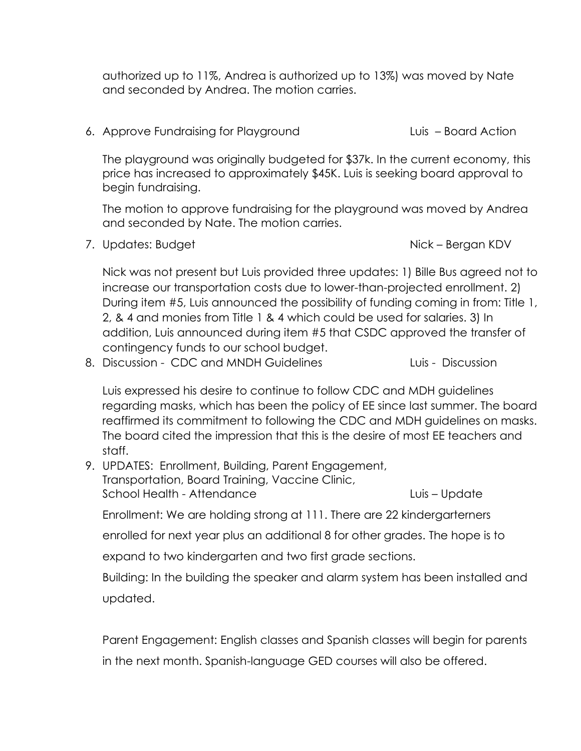authorized up to 11%, Andrea is authorized up to 13%) was moved by Nate and seconded by Andrea. The motion carries.

6. Approve Fundraising for Playground Luis – Board Action

The playground was originally budgeted for \$37k. In the current economy, this price has increased to approximately \$45K. Luis is seeking board approval to begin fundraising.

The motion to approve fundraising for the playground was moved by Andrea and seconded by Nate. The motion carries.

7. Updates: Budget Nick – Bergan KDV

Nick was not present but Luis provided three updates: 1) Bille Bus agreed not to increase our transportation costs due to lower-than-projected enrollment. 2) During item #5, Luis announced the possibility of funding coming in from: Title 1, 2, & 4 and monies from Title 1 & 4 which could be used for salaries. 3) In addition, Luis announced during item #5 that CSDC approved the transfer of contingency funds to our school budget.

8. Discussion - CDC and MNDH Guidelines Luis - Discussion

Luis expressed his desire to continue to follow CDC and MDH guidelines regarding masks, which has been the policy of EE since last summer. The board reaffirmed its commitment to following the CDC and MDH guidelines on masks. The board cited the impression that this is the desire of most EE teachers and staff.

9. UPDATES: Enrollment, Building, Parent Engagement, Transportation, Board Training, Vaccine Clinic, School Health - Attendance Luis – Update

Enrollment: We are holding strong at 111. There are 22 kindergarterners

enrolled for next year plus an additional 8 for other grades. The hope is to

expand to two kindergarten and two first grade sections.

Building: In the building the speaker and alarm system has been installed and updated.

Parent Engagement: English classes and Spanish classes will begin for parents in the next month. Spanish-language GED courses will also be offered.